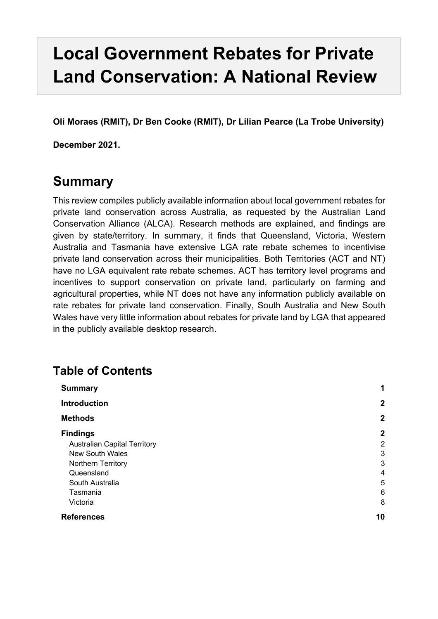# **Local Government Rebates for Private Land Conservation: A National Review**

**Oli Moraes (RMIT), Dr Ben Cooke (RMIT), Dr Lilian Pearce (La Trobe University)**

**December 2021.**

## **Summary**

This review compiles publicly available information about local government rebates for private land conservation across Australia, as requested by the Australian Land Conservation Alliance (ALCA). Research methods are explained, and findings are given by state/territory. In summary, it finds that Queensland, Victoria, Western Australia and Tasmania have extensive LGA rate rebate schemes to incentivise private land conservation across their municipalities. Both Territories (ACT and NT) have no LGA equivalent rate rebate schemes. ACT has territory level programs and incentives to support conservation on private land, particularly on farming and agricultural properties, while NT does not have any information publicly available on rate rebates for private land conservation. Finally, South Australia and New South Wales have very little information about rebates for private land by LGA that appeared in the publicly available desktop research.

## **Table of Contents**

| <b>Summary</b><br><b>Introduction</b> | 1                |
|---------------------------------------|------------------|
|                                       | $\mathbf{2}$     |
| <b>Methods</b>                        | $\boldsymbol{2}$ |
| <b>Findings</b>                       | $\mathbf{2}$     |
| <b>Australian Capital Territory</b>   | 2                |
| <b>New South Wales</b>                | 3                |
| Northern Territory                    | 3                |
| Queensland                            | 4                |
| South Australia                       | 5                |
| Tasmania                              | 6                |
| Victoria                              | 8                |
| <b>References</b>                     | 10               |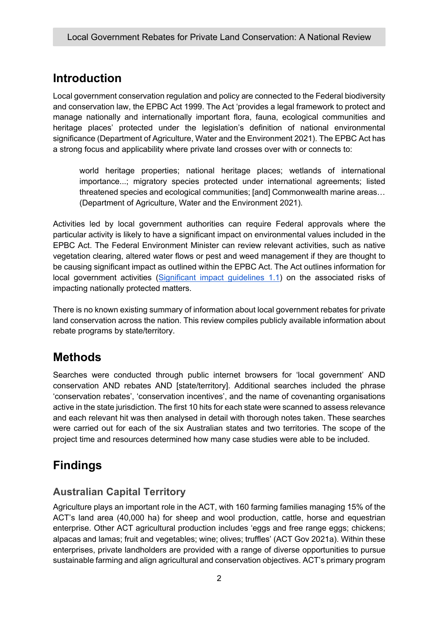## **Introduction**

Local government conservation regulation and policy are connected to the Federal biodiversity and conservation law, the EPBC Act 1999. The Act 'provides a legal framework to protect and manage nationally and internationally important flora, fauna, ecological communities and heritage places' protected under the legislation's definition of national environmental significance (Department of Agriculture, Water and the Environment 2021). The EPBC Act has a strong focus and applicability where private land crosses over with or connects to:

world heritage properties; national heritage places; wetlands of international importance...; migratory species protected under international agreements; listed threatened species and ecological communities; [and] Commonwealth marine areas… (Department of Agriculture, Water and the Environment 2021).

Activities led by local government authorities can require Federal approvals where the particular activity is likely to have a significant impact on environmental values included in the EPBC Act. The Federal Environment Minister can review relevant activities, such as native vegetation clearing, altered water flows or pest and weed management if they are thought to be causing significant impact as outlined within the EPBC Act. The Act outlines information for local government activities (Significant impact guidelines 1.1) on the associated risks of impacting nationally protected matters.

There is no known existing summary of information about local government rebates for private land conservation across the nation. This review compiles publicly available information about rebate programs by state/territory.

## **Methods**

Searches were conducted through public internet browsers for 'local government' AND conservation AND rebates AND [state/territory]. Additional searches included the phrase 'conservation rebates', 'conservation incentives', and the name of covenanting organisations active in the state jurisdiction. The first 10 hits for each state were scanned to assess relevance and each relevant hit was then analysed in detail with thorough notes taken. These searches were carried out for each of the six Australian states and two territories. The scope of the project time and resources determined how many case studies were able to be included.

## **Findings**

## **Australian Capital Territory**

Agriculture plays an important role in the ACT, with 160 farming families managing 15% of the ACT's land area (40,000 ha) for sheep and wool production, cattle, horse and equestrian enterprise. Other ACT agricultural production includes 'eggs and free range eggs; chickens; alpacas and lamas; fruit and vegetables; wine; olives; truffles' (ACT Gov 2021a). Within these enterprises, private landholders are provided with a range of diverse opportunities to pursue sustainable farming and align agricultural and conservation objectives. ACT's primary program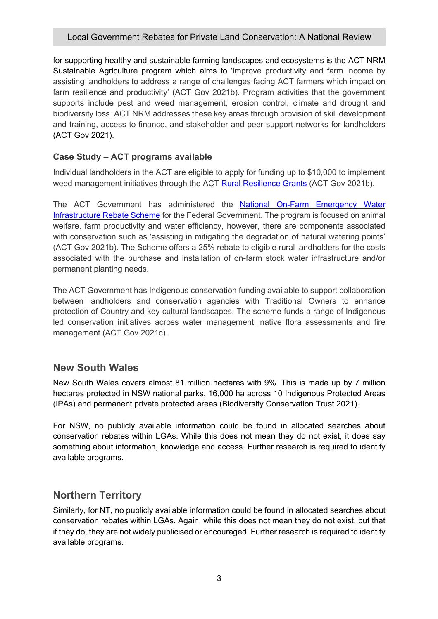## Local Government Rebates for Private Land Conservation: A National Review

for supporting healthy and sustainable farming landscapes and ecosystems is the ACT NRM Sustainable Agriculture program which aims to 'improve productivity and farm income by assisting landholders to address a range of challenges facing ACT farmers which impact on farm resilience and productivity' (ACT Gov 2021b). Program activities that the government supports include pest and weed management, erosion control, climate and drought and biodiversity loss. ACT NRM addresses these key areas through provision of skill development and training, access to finance, and stakeholder and peer-support networks for landholders (ACT Gov 2021).

## **Case Study – ACT programs available**

Individual landholders in the ACT are eligible to apply for funding up to \$10,000 to implement weed management initiatives through the ACT Rural Resilience Grants (ACT Gov 2021b).

The ACT Government has administered the National On-Farm Emergency Water Infrastructure Rebate Scheme for the Federal Government. The program is focused on animal welfare, farm productivity and water efficiency, however, there are components associated with conservation such as 'assisting in mitigating the degradation of natural watering points' (ACT Gov 2021b). The Scheme offers a 25% rebate to eligible rural landholders for the costs associated with the purchase and installation of on-farm stock water infrastructure and/or permanent planting needs.

The ACT Government has Indigenous conservation funding available to support collaboration between landholders and conservation agencies with Traditional Owners to enhance protection of Country and key cultural landscapes. The scheme funds a range of Indigenous led conservation initiatives across water management, native flora assessments and fire management (ACT Gov 2021c).

## **New South Wales**

New South Wales covers almost 81 million hectares with 9%. This is made up by 7 million hectares protected in NSW national parks, 16,000 ha across 10 Indigenous Protected Areas (IPAs) and permanent private protected areas (Biodiversity Conservation Trust 2021).

For NSW, no publicly available information could be found in allocated searches about conservation rebates within LGAs. While this does not mean they do not exist, it does say something about information, knowledge and access. Further research is required to identify available programs.

## **Northern Territory**

Similarly, for NT, no publicly available information could be found in allocated searches about conservation rebates within LGAs. Again, while this does not mean they do not exist, but that if they do, they are not widely publicised or encouraged. Further research is required to identify available programs.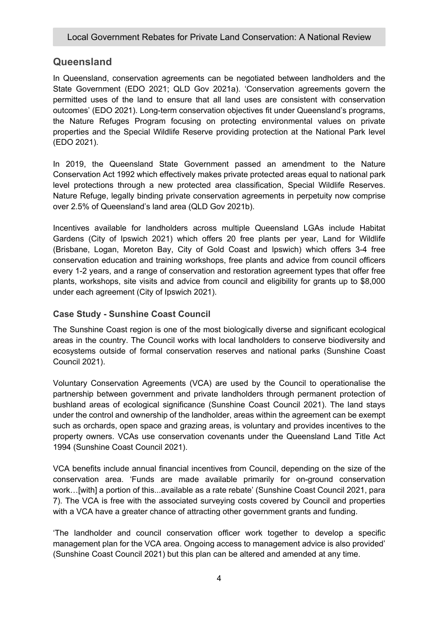## **Queensland**

In Queensland, conservation agreements can be negotiated between landholders and the State Government (EDO 2021; QLD Gov 2021a). 'Conservation agreements govern the permitted uses of the land to ensure that all land uses are consistent with conservation outcomes' (EDO 2021). Long-term conservation objectives fit under Queensland's programs, the Nature Refuges Program focusing on protecting environmental values on private properties and the Special Wildlife Reserve providing protection at the National Park level (EDO 2021).

In 2019, the Queensland State Government passed an amendment to the Nature Conservation Act 1992 which effectively makes private protected areas equal to national park level protections through a new protected area classification, Special Wildlife Reserves. Nature Refuge, legally binding private conservation agreements in perpetuity now comprise over 2.5% of Queensland's land area (QLD Gov 2021b).

Incentives available for landholders across multiple Queensland LGAs include Habitat Gardens (City of Ipswich 2021) which offers 20 free plants per year, Land for Wildlife (Brisbane, Logan, Moreton Bay, City of Gold Coast and Ipswich) which offers 3-4 free conservation education and training workshops, free plants and advice from council officers every 1-2 years, and a range of conservation and restoration agreement types that offer free plants, workshops, site visits and advice from council and eligibility for grants up to \$8,000 under each agreement (City of Ipswich 2021).

## **Case Study - Sunshine Coast Council**

The Sunshine Coast region is one of the most biologically diverse and significant ecological areas in the country. The Council works with local landholders to conserve biodiversity and ecosystems outside of formal conservation reserves and national parks (Sunshine Coast Council 2021).

Voluntary Conservation Agreements (VCA) are used by the Council to operationalise the partnership between government and private landholders through permanent protection of bushland areas of ecological significance (Sunshine Coast Council 2021). The land stays under the control and ownership of the landholder, areas within the agreement can be exempt such as orchards, open space and grazing areas, is voluntary and provides incentives to the property owners. VCAs use conservation covenants under the Queensland Land Title Act 1994 (Sunshine Coast Council 2021).

VCA benefits include annual financial incentives from Council, depending on the size of the conservation area. 'Funds are made available primarily for on-ground conservation work…[with] a portion of this...available as a rate rebate' (Sunshine Coast Council 2021, para 7). The VCA is free with the associated surveying costs covered by Council and properties with a VCA have a greater chance of attracting other government grants and funding.

'The landholder and council conservation officer work together to develop a specific management plan for the VCA area. Ongoing access to management advice is also provided' (Sunshine Coast Council 2021) but this plan can be altered and amended at any time.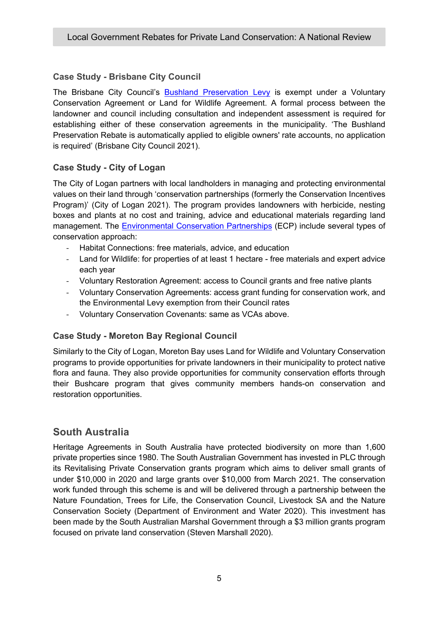## **Case Study - Brisbane City Council**

The Brisbane City Council's Bushland Preservation Levy is exempt under a Voluntary Conservation Agreement or Land for Wildlife Agreement. A formal process between the landowner and council including consultation and independent assessment is required for establishing either of these conservation agreements in the municipality. 'The Bushland Preservation Rebate is automatically applied to eligible owners' rate accounts, no application is required' (Brisbane City Council 2021).

## **Case Study - City of Logan**

The City of Logan partners with local landholders in managing and protecting environmental values on their land through 'conservation partnerships (formerly the Conservation Incentives Program)' (City of Logan 2021). The program provides landowners with herbicide, nesting boxes and plants at no cost and training, advice and educational materials regarding land management. The Environmental Conservation Partnerships (ECP) include several types of conservation approach:

- Habitat Connections: free materials, advice, and education
- Land for Wildlife: for properties of at least 1 hectare free materials and expert advice each year
- Voluntary Restoration Agreement: access to Council grants and free native plants
- Voluntary Conservation Agreements: access grant funding for conservation work, and the Environmental Levy exemption from their Council rates
- Voluntary Conservation Covenants: same as VCAs above.

## **Case Study - Moreton Bay Regional Council**

Similarly to the City of Logan, Moreton Bay uses Land for Wildlife and Voluntary Conservation programs to provide opportunities for private landowners in their municipality to protect native flora and fauna. They also provide opportunities for community conservation efforts through their Bushcare program that gives community members hands-on conservation and restoration opportunities.

## **South Australia**

Heritage Agreements in South Australia have protected biodiversity on more than 1,600 private properties since 1980. The South Australian Government has invested in PLC through its Revitalising Private Conservation grants program which aims to deliver small grants of under \$10,000 in 2020 and large grants over \$10,000 from March 2021. The conservation work funded through this scheme is and will be delivered through a partnership between the Nature Foundation, Trees for Life, the Conservation Council, Livestock SA and the Nature Conservation Society (Department of Environment and Water 2020). This investment has been made by the South Australian Marshal Government through a \$3 million grants program focused on private land conservation (Steven Marshall 2020).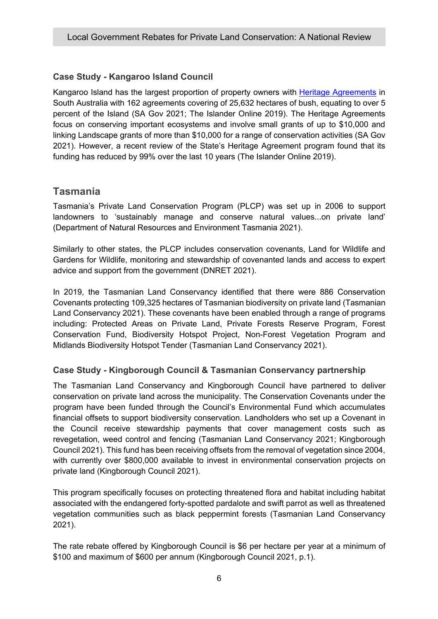## **Case Study - Kangaroo Island Council**

Kangaroo Island has the largest proportion of property owners with Heritage Agreements in South Australia with 162 agreements covering of 25,632 hectares of bush, equating to over 5 percent of the Island (SA Gov 2021; The Islander Online 2019). The Heritage Agreements focus on conserving important ecosystems and involve small grants of up to \$10,000 and linking Landscape grants of more than \$10,000 for a range of conservation activities (SA Gov 2021). However, a recent review of the State's Heritage Agreement program found that its funding has reduced by 99% over the last 10 years (The Islander Online 2019).

## **Tasmania**

Tasmania's Private Land Conservation Program (PLCP) was set up in 2006 to support landowners to 'sustainably manage and conserve natural values...on private land' (Department of Natural Resources and Environment Tasmania 2021).

Similarly to other states, the PLCP includes conservation covenants, Land for Wildlife and Gardens for Wildlife, monitoring and stewardship of covenanted lands and access to expert advice and support from the government (DNRET 2021).

In 2019, the Tasmanian Land Conservancy identified that there were 886 Conservation Covenants protecting 109,325 hectares of Tasmanian biodiversity on private land (Tasmanian Land Conservancy 2021). These covenants have been enabled through a range of programs including: Protected Areas on Private Land, Private Forests Reserve Program, Forest Conservation Fund, Biodiversity Hotspot Project, Non-Forest Vegetation Program and Midlands Biodiversity Hotspot Tender (Tasmanian Land Conservancy 2021).

## **Case Study - Kingborough Council & Tasmanian Conservancy partnership**

The Tasmanian Land Conservancy and Kingborough Council have partnered to deliver conservation on private land across the municipality. The Conservation Covenants under the program have been funded through the Council's Environmental Fund which accumulates financial offsets to support biodiversity conservation. Landholders who set up a Covenant in the Council receive stewardship payments that cover management costs such as revegetation, weed control and fencing (Tasmanian Land Conservancy 2021; Kingborough Council 2021). This fund has been receiving offsets from the removal of vegetation since 2004, with currently over \$800,000 available to invest in environmental conservation projects on private land (Kingborough Council 2021).

This program specifically focuses on protecting threatened flora and habitat including habitat associated with the endangered forty-spotted pardalote and swift parrot as well as threatened vegetation communities such as black peppermint forests (Tasmanian Land Conservancy 2021).

The rate rebate offered by Kingborough Council is \$6 per hectare per year at a minimum of \$100 and maximum of \$600 per annum (Kingborough Council 2021, p.1).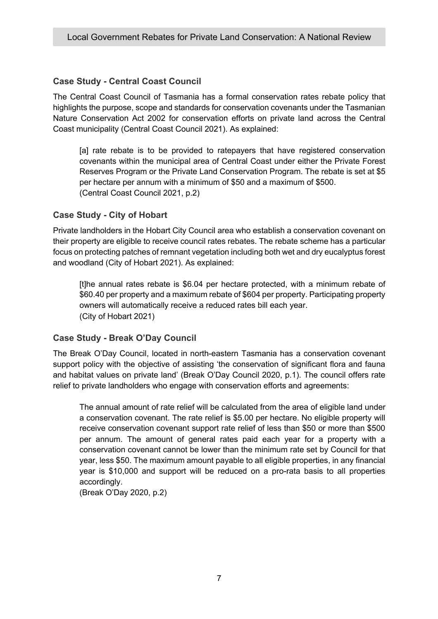## **Case Study - Central Coast Council**

The Central Coast Council of Tasmania has a formal conservation rates rebate policy that highlights the purpose, scope and standards for conservation covenants under the Tasmanian Nature Conservation Act 2002 for conservation efforts on private land across the Central Coast municipality (Central Coast Council 2021). As explained:

[a] rate rebate is to be provided to ratepayers that have registered conservation covenants within the municipal area of Central Coast under either the Private Forest Reserves Program or the Private Land Conservation Program. The rebate is set at \$5 per hectare per annum with a minimum of \$50 and a maximum of \$500. (Central Coast Council 2021, p.2)

### **Case Study - City of Hobart**

Private landholders in the Hobart City Council area who establish a conservation covenant on their property are eligible to receive council rates rebates. The rebate scheme has a particular focus on protecting patches of remnant vegetation including both wet and dry eucalyptus forest and woodland (City of Hobart 2021). As explained:

[t]he annual rates rebate is \$6.04 per hectare protected, with a minimum rebate of \$60.40 per property and a maximum rebate of \$604 per property. Participating property owners will automatically receive a reduced rates bill each year. (City of Hobart 2021)

### **Case Study - Break O'Day Council**

The Break O'Day Council, located in north-eastern Tasmania has a conservation covenant support policy with the objective of assisting 'the conservation of significant flora and fauna and habitat values on private land' (Break O'Day Council 2020, p.1). The council offers rate relief to private landholders who engage with conservation efforts and agreements:

The annual amount of rate relief will be calculated from the area of eligible land under a conservation covenant. The rate relief is \$5.00 per hectare. No eligible property will receive conservation covenant support rate relief of less than \$50 or more than \$500 per annum. The amount of general rates paid each year for a property with a conservation covenant cannot be lower than the minimum rate set by Council for that year, less \$50. The maximum amount payable to all eligible properties, in any financial year is \$10,000 and support will be reduced on a pro-rata basis to all properties accordingly.

(Break O'Day 2020, p.2)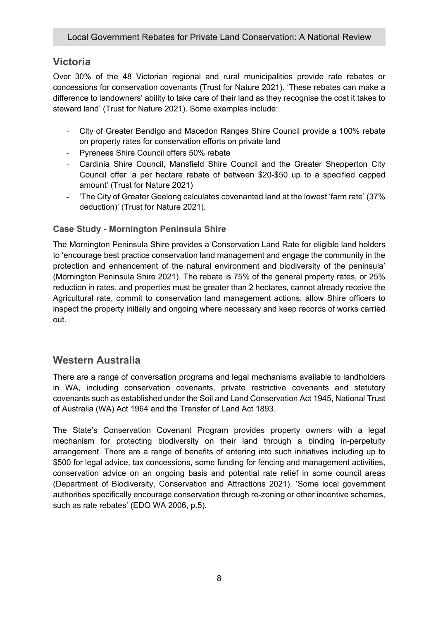## **Victoria**

Over 30% of the 48 Victorian regional and rural municipalities provide rate rebates or concessions for conservation covenants (Trust for Nature 2021). 'These rebates can make a difference to landowners' ability to take care of their land as they recognise the cost it takes to steward land' (Trust for Nature 2021). Some examples include:

- City of Greater Bendigo and Macedon Ranges Shire Council provide a 100% rebate on property rates for conservation efforts on private land
- Pyrenees Shire Council offers 50% rebate
- Cardinia Shire Council, Mansfield Shire Council and the Greater Shepperton City Council offer 'a per hectare rebate of between \$20-\$50 up to a specified capped amount' (Trust for Nature 2021)
- 'The City of Greater Geelong calculates covenanted land at the lowest 'farm rate' (37% deduction)' (Trust for Nature 2021).

## **Case Study - Mornington Peninsula Shire**

The Mornington Peninsula Shire provides a Conservation Land Rate for eligible land holders to 'encourage best practice conservation land management and engage the community in the protection and enhancement of the natural environment and biodiversity of the peninsula' (Mornington Peninsula Shire 2021). The rebate is 75% of the general property rates, or 25% reduction in rates, and properties must be greater than 2 hectares, cannot already receive the Agricultural rate, commit to conservation land management actions, allow Shire officers to inspect the property initially and ongoing where necessary and keep records of works carried out.

## **Western Australia**

There are a range of conversation programs and legal mechanisms available to landholders in WA, including conservation covenants, private restrictive covenants and statutory covenants such as established under the Soil and Land Conservation Act 1945, National Trust of Australia (WA) Act 1964 and the Transfer of Land Act 1893.

The State's Conservation Covenant Program provides property owners with a legal mechanism for protecting biodiversity on their land through a binding in-perpetuity arrangement. There are a range of benefits of entering into such initiatives including up to \$500 for legal advice, tax concessions, some funding for fencing and management activities, conservation advice on an ongoing basis and potential rate relief in some council areas (Department of Biodiversity, Conservation and Attractions 2021). 'Some local government authorities specifically encourage conservation through re-zoning or other incentive schemes, such as rate rebates' (EDO WA 2006, p.5).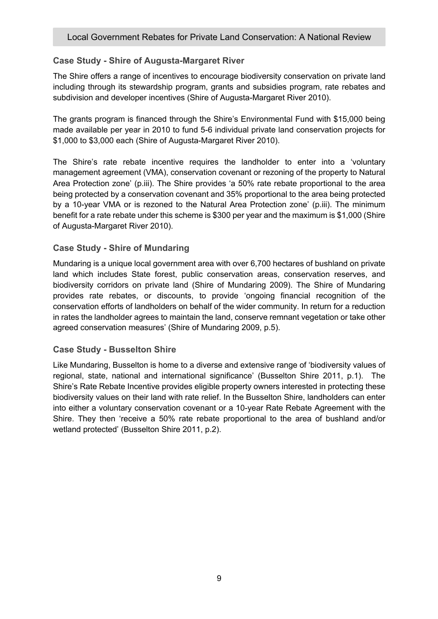## **Case Study - Shire of Augusta-Margaret River**

The Shire offers a range of incentives to encourage biodiversity conservation on private land including through its stewardship program, grants and subsidies program, rate rebates and subdivision and developer incentives (Shire of Augusta-Margaret River 2010).

The grants program is financed through the Shire's Environmental Fund with \$15,000 being made available per year in 2010 to fund 5-6 individual private land conservation projects for \$1,000 to \$3,000 each (Shire of Augusta-Margaret River 2010).

The Shire's rate rebate incentive requires the landholder to enter into a 'voluntary management agreement (VMA), conservation covenant or rezoning of the property to Natural Area Protection zone' (p.iii). The Shire provides 'a 50% rate rebate proportional to the area being protected by a conservation covenant and 35% proportional to the area being protected by a 10-year VMA or is rezoned to the Natural Area Protection zone' (p.iii). The minimum benefit for a rate rebate under this scheme is \$300 per year and the maximum is \$1,000 (Shire of Augusta-Margaret River 2010).

### **Case Study - Shire of Mundaring**

Mundaring is a unique local government area with over 6,700 hectares of bushland on private land which includes State forest, public conservation areas, conservation reserves, and biodiversity corridors on private land (Shire of Mundaring 2009). The Shire of Mundaring provides rate rebates, or discounts, to provide 'ongoing financial recognition of the conservation efforts of landholders on behalf of the wider community. In return for a reduction in rates the landholder agrees to maintain the land, conserve remnant vegetation or take other agreed conservation measures' (Shire of Mundaring 2009, p.5).

### **Case Study - Busselton Shire**

Like Mundaring, Busselton is home to a diverse and extensive range of 'biodiversity values of regional, state, national and international significance' (Busselton Shire 2011, p.1). The Shire's Rate Rebate Incentive provides eligible property owners interested in protecting these biodiversity values on their land with rate relief. In the Busselton Shire, landholders can enter into either a voluntary conservation covenant or a 10-year Rate Rebate Agreement with the Shire. They then 'receive a 50% rate rebate proportional to the area of bushland and/or wetland protected' (Busselton Shire 2011, p.2).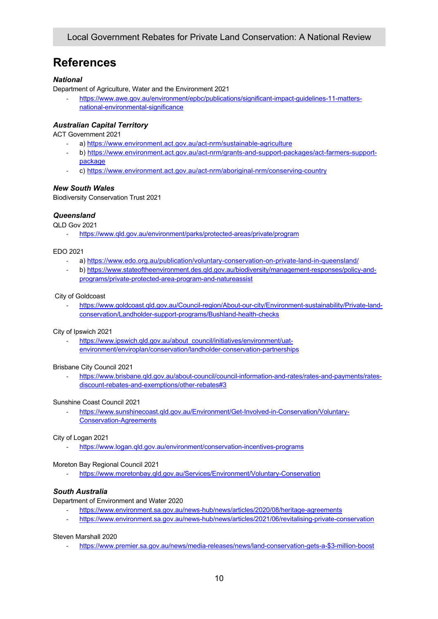## **References**

#### *National*

Department of Agriculture, Water and the Environment 2021

- https://www.awe.gov.au/environment/epbc/publications/significant-impact-guidelines-11-mattersnational-environmental-significance

#### *Australian Capital Territory*

ACT Government 2021

- a) https://www.environment.act.gov.au/act-nrm/sustainable-agriculture
- b) https://www.environment.act.gov.au/act-nrm/grants-and-support-packages/act-farmers-supportpackage
- c) https://www.environment.act.gov.au/act-nrm/aboriginal-nrm/conserving-country

#### *New South Wales*

Biodiversity Conservation Trust 2021

#### *Queensland*

QLD Gov 2021

- https://www.qld.gov.au/environment/parks/protected-areas/private/program

#### EDO 2021

- a) https://www.edo.org.au/publication/voluntary-conservation-on-private-land-in-queensland/
- b) https://www.stateoftheenvironment.des.qld.gov.au/biodiversity/management-responses/policy-andprograms/private-protected-area-program-and-natureassist

#### City of Goldcoast

- https://www.goldcoast.qld.gov.au/Council-region/About-our-city/Environment-sustainability/Private-landconservation/Landholder-support-programs/Bushland-health-checks

#### City of Ipswich 2021

https://www.ipswich.qld.gov.au/about\_council/initiatives/environment/uatenvironment/enviroplan/conservation/landholder-conservation-partnerships

#### Brisbane City Council 2021

https://www.brisbane.qld.gov.au/about-council/council-information-and-rates/rates-and-payments/ratesdiscount-rebates-and-exemptions/other-rebates#3

#### Sunshine Coast Council 2021

- https://www.sunshinecoast.qld.gov.au/Environment/Get-Involved-in-Conservation/Voluntary-Conservation-Agreements

#### City of Logan 2021

https://www.logan.gld.gov.au/environment/conservation-incentives-programs

#### Moreton Bay Regional Council 2021

https://www.moretonbay.qld.gov.au/Services/Environment/Voluntary-Conservation

#### *South Australia*

Department of Environment and Water 2020

- https://www.environment.sa.gov.au/news-hub/news/articles/2020/08/heritage-agreements
- https://www.environment.sa.gov.au/news-hub/news/articles/2021/06/revitalising-private-conservation

#### Steven Marshall 2020

- https://www.premier.sa.gov.au/news/media-releases/news/land-conservation-gets-a-\$3-million-boost